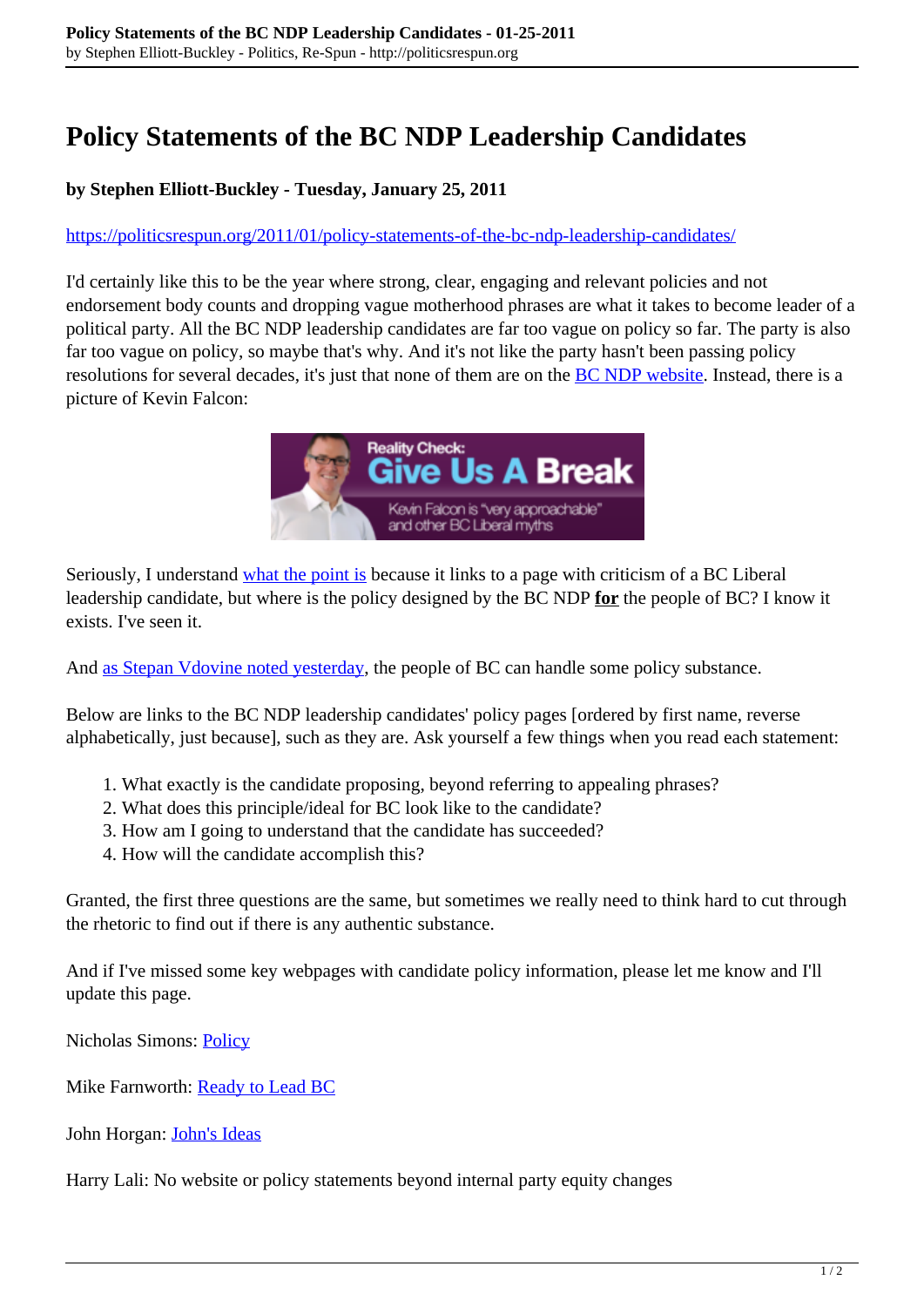## **Policy Statements of the BC NDP Leadership Candidates**

## **by Stephen Elliott-Buckley - Tuesday, January 25, 2011**

## <https://politicsrespun.org/2011/01/policy-statements-of-the-bc-ndp-leadership-candidates/>

I'd certainly like this to be the year where strong, clear, engaging and relevant policies and not endorsement body counts and dropping vague motherhood phrases are what it takes to become leader of a political party. All the BC NDP leadership candidates are far too vague on policy so far. The party is also far too vague on policy, so maybe that's why. And it's not like the party hasn't been passing policy resolutions for several decades, it's just that none of them are on the [BC NDP website](http://www.bcndp.ca/). Instead, there is a picture of Kevin Falcon:



Seriously, I understand [what the point is](http://www.bcndp.ca/newsroom/another-empty-promise-falcon-i-will-address-south-island-transportation-issues) because it links to a page with criticism of a BC Liberal leadership candidate, but where is the policy designed by the BC NDP **for** the people of BC? I know it exists. I've seen it.

And [as Stepan Vdovine noted yesterday,](http://www.vdovine.ca/2011/01/its-about-ideas-stupid-lets-hear-them/) the people of BC can handle some policy substance.

Below are links to the BC NDP leadership candidates' policy pages [ordered by first name, reverse alphabetically, just because], such as they are. Ask yourself a few things when you read each statement:

- 1. What exactly is the candidate proposing, beyond referring to appealing phrases?
- 2. What does this principle/ideal for BC look like to the candidate?
- 3. How am I going to understand that the candidate has succeeded?
- 4. How will the candidate accomplish this?

Granted, the first three questions are the same, but sometimes we really need to think hard to cut through the rhetoric to find out if there is any authentic substance.

And if I've missed some key webpages with candidate policy information, please let me know and I'll update this page.

Nicholas Simons: [Policy](http://nicholassimons2011.ca/?cat=4)

Mike Farnworth: [Ready to Lead BC](http://mikefarnworth.ca/vision-for-bc/)

John Horgan: [John's Ideas](http://www.horganforbc.ca/johns-ideas)

Harry Lali: No website or policy statements beyond internal party equity changes